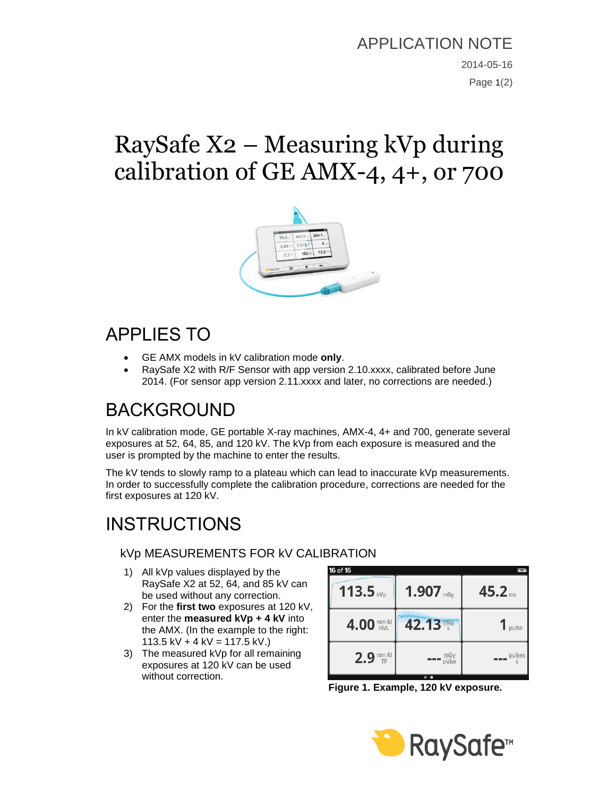### APPLICATION NOTE

2014-05-16 Page 1(2)

# RaySafe X2 – Measuring kVp during calibration of GE AMX-4, 4+, or 700



### APPLIES TO

- GE AMX models in kV calibration mode **only**.
- RaySafe X2 with R/F Sensor with app version 2.10.xxxx, calibrated before June 2014. (For sensor app version 2.11.xxxx and later, no corrections are needed.)

## BACKGROUND

In kV calibration mode, GE portable X-ray machines, AMX-4, 4+ and 700, generate several exposures at 52, 64, 85, and 120 kV. The kVp from each exposure is measured and the user is prompted by the machine to enter the results.

The kV tends to slowly ramp to a plateau which can lead to inaccurate kVp measurements. In order to successfully complete the calibration procedure, corrections are needed for the first exposures at 120 kV.

# **INSTRUCTIONS**

#### kVp MEASUREMENTS FOR kV CALIBRATION

- 1) All kVp values displayed by the RaySafe X2 at 52, 64, and 85 kV can be used without any correction.
- 2) For the **first two** exposures at 120 kV, enter the **measured kVp + 4 kV** into the AMX. (In the example to the right: 113.5 kV + 4 kV = 117.5 kV.)
- 3) The measured kVp for all remaining exposures at 120 kV can be used without correction.

| 16 of 16    |              | Ķ                  |
|-------------|--------------|--------------------|
| $113.5$ kVp | $1.907$ mgy  | 45.2 <sub>ms</sub> |
| 4.00 MMAI   | 42.13 mgy    | pulse              |
| $2.9$ mm Al | mGy<br>pulse | pulses             |